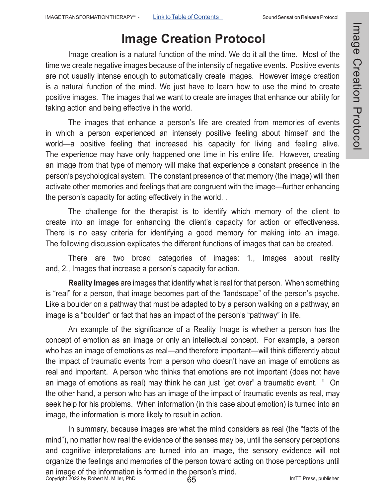## **Image Creation Protocol**

Image creation is a natural function of the mind. We do it all the time. Most of the time we create negative images because of the intensity of negative events. Positive events are not usually intense enough to automatically create images. However image creation is a natural function of the mind. We just have to learn how to use the mind to create positive images. The images that we want to create are images that enhance our ability for taking action and being effective in the world.

The images that enhance a person's life are created from memories of events in which a person experienced an intensely positive feeling about himself and the world—a positive feeling that increased his capacity for living and feeling alive. The experience may have only happened one time in his entire life. However, creating an image from that type of memory will make that experience a constant presence in the person's psychological system. The constant presence of that memory (the image) will then activate other memories and feelings that are congruent with the image—further enhancing the person's capacity for acting effectively in the world. .

The challenge for the therapist is to identify which memory of the client to create into an image for enhancing the client's capacity for action or effectiveness. There is no easy criteria for identifying a good memory for making into an image. The following discussion explicates the different functions of images that can be created.

There are two broad categories of images: 1., Images about reality and, 2., Images that increase a person's capacity for action.

**Reality Images** are images that identify what is real for that person. When something is "real" for a person, that image becomes part of the "landscape" of the person's psyche. Like a boulder on a pathway that must be adapted to by a person walking on a pathway, an image is a "boulder" or fact that has an impact of the person's "pathway" in life.

 An example of the significance of a Reality Image is whether a person has the concept of emotion as an image or only an intellectual concept. For example, a person who has an image of emotions as real—and therefore important—will think differently about the impact of traumatic events from a person who doesn't have an image of emotions as real and important. A person who thinks that emotions are not important (does not have an image of emotions as real) may think he can just "get over" a traumatic event. " On the other hand, a person who has an image of the impact of traumatic events as real, may seek help for his problems. When information (in this case about emotion) is turned into an image, the information is more likely to result in action.

Copyright 2022 by Robert M. Miller, PhD ImTT Press, publisher 65 In summary, because images are what the mind considers as real (the "facts of the mind"), no matter how real the evidence of the senses may be, until the sensory perceptions and cognitive interpretations are turned into an image, the sensory evidence will not organize the feelings and memories of the person toward acting on those perceptions until an image of the information is formed in the person's mind.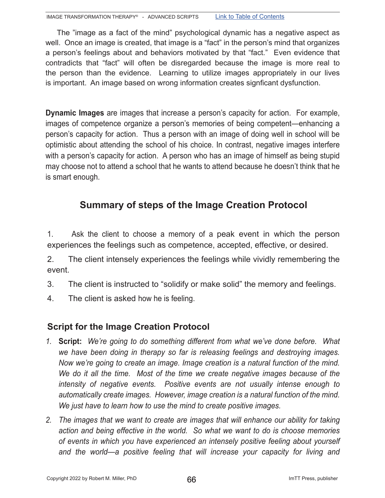The "image as a fact of the mind" psychological dynamic has a negative aspect as well. Once an image is created, that image is a "fact" in the person's mind that organizes a person's feelings about and behaviors motivated by that "fact." Even evidence that contradicts that "fact" will often be disregarded because the image is more real to the person than the evidence. Learning to utilize images appropriately in our lives is important. An image based on wrong information creates signficant dysfunction.

**Dynamic Images** are images that increase a person's capacity for action. For example, images of competence organize a person's memories of being competent—enhancing a person's capacity for action. Thus a person with an image of doing well in school will be optimistic about attending the school of his choice. In contrast, negative images interfere with a person's capacity for action. A person who has an image of himself as being stupid may choose not to attend a school that he wants to attend because he doesn't think that he is smart enough.

## **Summary of steps of the Image Creation Protocol**

1. Ask the client to choose a memory of a peak event in which the person experiences the feelings such as competence, accepted, effective, or desired.

2. The client intensely experiences the feelings while vividly remembering the event.

- 3. The client is instructed to "solidify or make solid" the memory and feelings.
- 4. The client is asked how he is feeling.

#### **Script for the Image Creation Protocol**

- *1.* **Script:** *We're going to do something different from what we've done before. What we have been doing in therapy so far is releasing feelings and destroying images. Now we're going to create an image. Image creation is a natural function of the mind. We do it all the time. Most of the time we create negative images because of the intensity of negative events. Positive events are not usually intense enough to automatically create images. However, image creation is a natural function of the mind. We just have to learn how to use the mind to create positive images.*
- *2. The images that we want to create are images that will enhance our ability for taking action and being effective in the world. So what we want to do is choose memories of events in which you have experienced an intensely positive feeling about yourself and the world—a positive feeling that will increase your capacity for living and*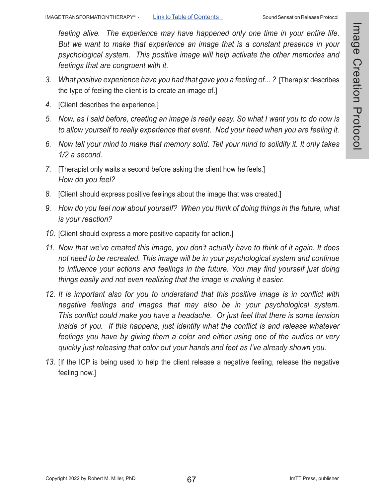*feeling alive. The experience may have happened only one time in your entire life. But we want to make that experience an image that is a constant presence in your psychological system. This positive image will help activate the other memories and feelings that are congruent with it.* 

- 3. *What positive experience have you had that gave you a feeling of...?* [Therapist describes the type of feeling the client is to create an image of.]
- *4.* [Client describes the experience.]
- *5. Now, as I said before, creating an image is really easy. So what I want you to do now is to allow yourself to really experience that event. Nod your head when you are feeling it.*
- *6. Now tell your mind to make that memory solid. Tell your mind to solidify it. It only takes 1/2 a second.*
- *7.* [Therapist only waits a second before asking the client how he feels.] *How do you feel?*
- *8.* [Client should express positive feelings about the image that was created.]
- *9. How do you feel now about yourself? When you think of doing things in the future, what is your reaction?*
- *10.* [Client should express a more positive capacity for action.]
- *11. Now that we've created this image, you don't actually have to think of it again. It does not need to be recreated. This image will be in your psychological system and continue to influence your actions and feelings in the future. You may find yourself just doing things easily and not even realizing that the image is making it easier.*
- *12. It is important also for you to understand that this positive image is in conflict with negative feelings and images that may also be in your psychological system. This conflict could make you have a headache. Or just feel that there is some tension inside of you. If this happens, just identify what the conflict is and release whatever feelings you have by giving them a color and either using one of the audios or very quickly just releasing that color out your hands and feet as I've already shown you.*
- *13.* [If the ICP is being used to help the client release a negative feeling, release the negative feeling now.]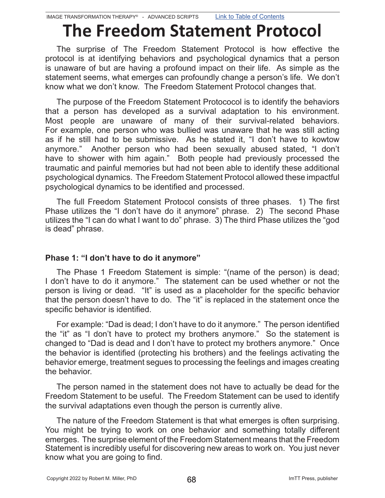# **The Freedom Statement Protocol**

The surprise of The Freedom Statement Protocol is how effective the protocol is at identifying behaviors and psychological dynamics that a person is unaware of but are having a profound impact on their life. As simple as the statement seems, what emerges can profoundly change a person's life. We don't know what we don't know. The Freedom Statement Protocol changes that.

The purpose of the Freedom Statement Protococol is to identify the behaviors that a person has developed as a survival adaptation to his environment. Most people are unaware of many of their survival-related behaviors. For example, one person who was bullied was unaware that he was still acting as if he still had to be submissive. As he stated it, "I don't have to kowtow anymore." Another person who had been sexually abused stated, "I don't have to shower with him again." Both people had previously processed the traumatic and painful memories but had not been able to identify these additional psychological dynamics. The Freedom Statement Protocol allowed these impactful psychological dynamics to be identified and processed.

 The full Freedom Statement Protocol consists of three phases. 1) The first Phase utilizes the "I don't have do it anymore" phrase. 2) The second Phase utilizes the "I can do what I want to do" phrase. 3) The third Phase utilizes the "god is dead" phrase.

#### **Phase 1: "I don't have to do it anymore"**

The Phase 1 Freedom Statement is simple: "(name of the person) is dead; I don't have to do it anymore." The statement can be used whether or not the person is living or dead. "It" is used as a placeholder for the specific behavior that the person doesn't have to do. The "it" is replaced in the statement once the specific behavior is identified.

 For example: "Dad is dead; I don't have to do it anymore." The person identified the "it" as "I don't have to protect my brothers anymore." So the statement is changed to "Dad is dead and I don't have to protect my brothers anymore." Once the behavior is identified (protecting his brothers) and the feelings activating the behavior emerge, treatment segues to processing the feelings and images creating the behavior.

The person named in the statement does not have to actually be dead for the Freedom Statement to be useful. The Freedom Statement can be used to identify the survival adaptations even though the person is currently alive.

The nature of the Freedom Statement is that what emerges is often surprising. You might be trying to work on one behavior and something totally different emerges. The surprise element of the Freedom Statement means that the Freedom Statement is incredibly useful for discovering new areas to work on. You just never know what you are going to find.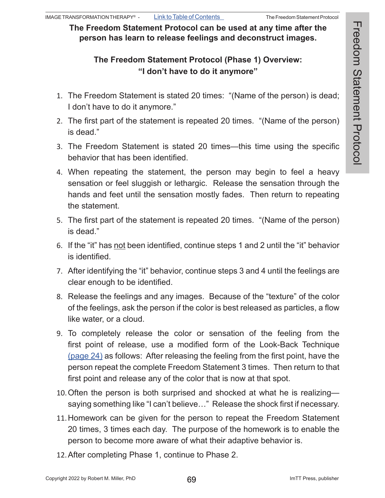**The Freedom Statement Protocol can be used at any time after the person has learn to release feelings and deconstruct images.**

### **The Freedom Statement Protocol (Phase 1) Overview: "I don't have to do it anymore"**

- 1. The Freedom Statement is stated 20 times: "(Name of the person) is dead; I don't have to do it anymore."
- 2. The first part of the statement is repeated 20 times. "(Name of the person) is dead."
- 3. The Freedom Statement is stated 20 times—this time using the specific behavior that has been identified.
- 4. When repeating the statement, the person may begin to feel a heavy sensation or feel sluggish or lethargic. Release the sensation through the hands and feet until the sensation mostly fades. Then return to repeating the statement.
- 5. The first part of the statement is repeated 20 times. "(Name of the person) is dead."
- 6. If the "it" has not been identified, continue steps 1 and 2 until the "it" behavior is identified.
- 7. After identifying the "it" behavior, continue steps 3 and 4 until the feelings are clear enough to be identified.
- 8. Release the feelings and any images. Because of the "texture" of the color of the feelings, ask the person if the color is best released as particles, a flow like water, or a cloud.
- 9. To completely release the color or sensation of the feeling from the first point of release, use a modified form of the Look-Back Technique (page 24) as follows: After releasing the feeling from the first point, have the person repeat the complete Freedom Statement 3 times. Then return to that first point and release any of the color that is now at that spot.
- 10.Often the person is both surprised and shocked at what he is realizing saying something like "I can't believe…" Release the shock first if necessary.
- 11.Homework can be given for the person to repeat the Freedom Statement 20 times, 3 times each day. The purpose of the homework is to enable the person to become more aware of what their adaptive behavior is.
- 12.After completing Phase 1, continue to Phase 2.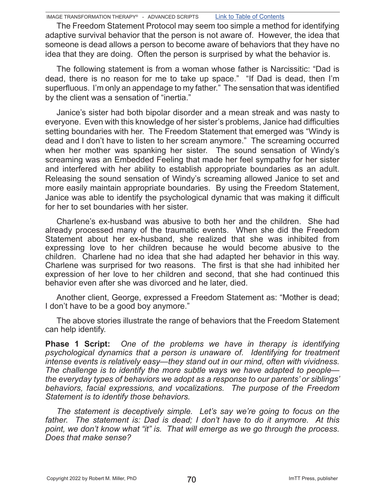IMAGE TRANSFORMATION THERAPY® - ADVANCED SCRIPTS Link to Table of Contents

The Freedom Statement Protocol may seem too simple a method for identifying adaptive survival behavior that the person is not aware of. However, the idea that someone is dead allows a person to become aware of behaviors that they have no idea that they are doing. Often the person is surprised by what the behavior is.

The following statement is from a woman whose father is Narcissitic: "Dad is dead, there is no reason for me to take up space." "If Dad is dead, then I'm superfluous. I'm only an appendage to my father." The sensation that was identified by the client was a sensation of "inertia."

Janice's sister had both bipolar disorder and a mean streak and was nasty to everyone. Even with this knowledge of her sister's problems, Janice had difficulties setting boundaries with her. The Freedom Statement that emerged was "Windy is dead and I don't have to listen to her scream anymore." The screaming occurred when her mother was spanking her sister. The sound sensation of Windy's screaming was an Embedded Feeling that made her feel sympathy for her sister and interfered with her ability to establish appropriate boundaries as an adult. Releasing the sound sensation of Windy's screaming allowed Janice to set and more easily maintain appropriate boundaries. By using the Freedom Statement, Janice was able to identify the psychological dynamic that was making it difficult for her to set boundaries with her sister.

Charlene's ex-husband was abusive to both her and the children. She had already processed many of the traumatic events. When she did the Freedom Statement about her ex-husband, she realized that she was inhibited from expressing love to her children because he would become abusive to the children. Charlene had no idea that she had adapted her behavior in this way. Charlene was surprised for two reasons. The first is that she had inhibited her expression of her love to her children and second, that she had continued this behavior even after she was divorced and he later, died.

Another client, George, expressed a Freedom Statement as: "Mother is dead; I don't have to be a good boy anymore."

The above stories illustrate the range of behaviors that the Freedom Statement can help identify.

**Phase 1 Script:** *One of the problems we have in therapy is identifying psychological dynamics that a person is unaware of. Identifying for treatment intense events is relatively easy—they stand out in our mind, often with vividness. The challenge is to identify the more subtle ways we have adapted to people the everyday types of behaviors we adopt as a response to our parents' or siblings' behaviors, facial expressions, and vocalizations. The purpose of the Freedom Statement is to identify those behaviors.* 

*The statement is deceptively simple. Let's say we're going to focus on the father. The statement is: Dad is dead; I don't have to do it anymore. At this point, we don't know what "it" is. That will emerge as we go through the process. Does that make sense?*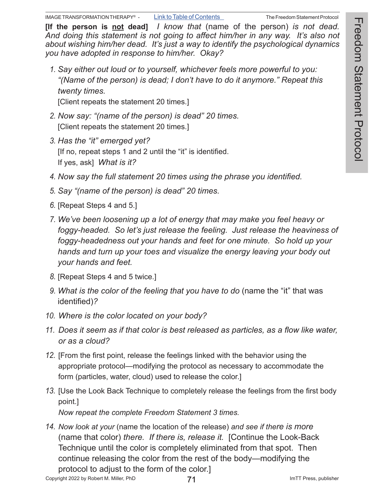**[If the person is not dead]** *I know that* (name of the person) *is not dead. And doing this statement is not going to affect him/her in any way. It's also not about wishing him/her dead. It's just a way to identify the psychological dynamics you have adopted in response to him/her. Okay?*

*1. Say either out loud or to yourself, whichever feels more powerful to you: "(Name of the person) is dead; I don't have to do it anymore." Repeat this twenty times.*

[Client repeats the statement 20 times.]

- *2. Now say: "(name of the person) is dead" 20 times.* [Client repeats the statement 20 times.]
- *3. Has the "it" emerged yet?*  [If no, repeat steps 1 and 2 until the "it" is identified. If yes, ask] *What is it?*
- *4. Now say the full statement 20 times using the phrase you identified.*
- *5. Say "(name of the person) is dead" 20 times.*
- *6.* [Repeat Steps 4 and 5.]
- *7. We've been loosening up a lot of energy that may make you feel heavy or foggy-headed. So let's just release the feeling. Just release the heaviness of foggy-headedness out your hands and feet for one minute. So hold up your hands and turn up your toes and visualize the energy leaving your body out your hands and feet.*
- *8.* [Repeat Steps 4 and 5 twice.]
- *9. What is the color of the feeling that you have to do* (name the "it" that was identified)*?*
- *10. Where is the color located on your body?*
- *11. Does it seem as if that color is best released as particles, as a flow like water, or as a cloud?*
- *12.* [From the first point, release the feelings linked with the behavior using the appropriate protocol—modifying the protocol as necessary to accommodate the form (particles, water, cloud) used to release the color.]
- *13.* [Use the Look Back Technique to completely release the feelings from the first body point.]

*Now repeat the complete Freedom Statement 3 times.*

*14. Now look at your* (name the location of the release) *and see if there is more*  (name that color) *there. If there is, release it.* [Continue the Look-Back Technique until the color is completely eliminated from that spot. Then continue releasing the color from the rest of the body—modifying the protocol to adjust to the form of the color.]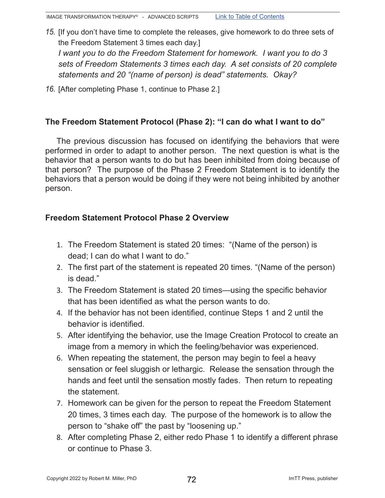- *15.* [If you don't have time to complete the releases, give homework to do three sets of the Freedom Statement 3 times each day.] *I want you to do the Freedom Statement for homework. I want you to do 3 sets of Freedom Statements 3 times each day. A set consists of 20 complete statements and 20 "(name of person) is dead" statements. Okay?*
- *16.* [After completing Phase 1, continue to Phase 2.]

#### **The Freedom Statement Protocol (Phase 2): "I can do what I want to do"**

The previous discussion has focused on identifying the behaviors that were performed in order to adapt to another person. The next question is what is the behavior that a person wants to do but has been inhibited from doing because of that person? The purpose of the Phase 2 Freedom Statement is to identify the behaviors that a person would be doing if they were not being inhibited by another person.

#### **Freedom Statement Protocol Phase 2 Overview**

- 1. The Freedom Statement is stated 20 times: "(Name of the person) is dead; I can do what I want to do."
- 2. The first part of the statement is repeated 20 times. "(Name of the person) is dead."
- 3. The Freedom Statement is stated 20 times—using the specific behavior that has been identified as what the person wants to do.
- 4. If the behavior has not been identified, continue Steps 1 and 2 until the behavior is identified.
- 5. After identifying the behavior, use the Image Creation Protocol to create an image from a memory in which the feeling/behavior was experienced.
- 6. When repeating the statement, the person may begin to feel a heavy sensation or feel sluggish or lethargic. Release the sensation through the hands and feet until the sensation mostly fades. Then return to repeating the statement.
- 7. Homework can be given for the person to repeat the Freedom Statement 20 times, 3 times each day. The purpose of the homework is to allow the person to "shake off" the past by "loosening up."
- 8. After completing Phase 2, either redo Phase 1 to identify a different phrase or continue to Phase 3.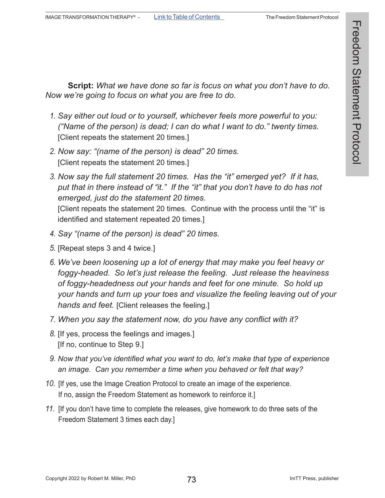**Script:** *What we have done so far is focus on what you don't have to do. Now we're going to focus on what you are free to do.* 

- *1. Say either out loud or to yourself, whichever feels more powerful to you: ("Name of the person) is dead; I can do what I want to do." twenty times.* [Client repeats the statement 20 times.]
- *2. Now say: "(name of the person) is dead" 20 times.* [Client repeats the statement 20 times.]
- *3. Now say the full statement 20 times. Has the "it" emerged yet? If it has, put that in there instead of "it." If the "it" that you don't have to do has not emerged, just do the statement 20 times.* [Client repeats the statement 20 times. Continue with the process until the "it" is identified and statement repeated 20 times.]
- *4. Say "(name of the person) is dead" 20 times.*
- *5.* [Repeat steps 3 and 4 twice.]
- *6. We've been loosening up a lot of energy that may make you feel heavy or foggy-headed. So let's just release the feeling. Just release the heaviness of foggy-headedness out your hands and feet for one minute. So hold up your hands and turn up your toes and visualize the feeling leaving out of your hands and feet.* [Client releases the feeling.]
- *7. When you say the statement now, do you have any conflict with it?*
- *8.* [If yes, process the feelings and images.] [If no, continue to Step 9.]
- *9. Now that you've identified what you want to do, let's make that type of experience an image. Can you remember a time when you behaved or felt that way?*
- *10.* [If yes, use the Image Creation Protocol to create an image of the experience. If no, assign the Freedom Statement as homework to reinforce it.]
- *11.* [If you don't have time to complete the releases, give homework to do three sets of the Freedom Statement 3 times each day.]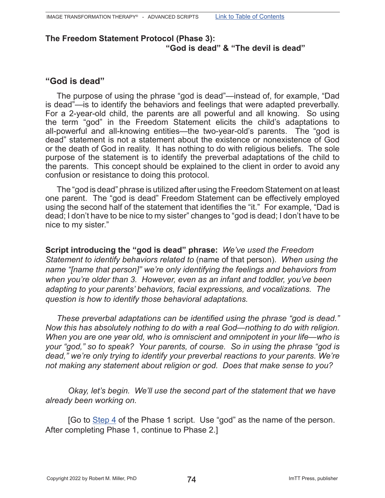#### **The Freedom Statement Protocol (Phase 3): "God is dead" & "The devil is dead"**

#### **"God is dead"**

The purpose of using the phrase "god is dead"—instead of, for example, "Dad is dead"—is to identify the behaviors and feelings that were adapted preverbally. For a 2-year-old child, the parents are all powerful and all knowing. So using the term "god" in the Freedom Statement elicits the child's adaptations to all-powerful and all-knowing entities—the two-year-old's parents. The "god is dead" statement is not a statement about the existence or nonexistence of God or the death of God in reality. It has nothing to do with religious beliefs. The sole purpose of the statement is to identify the preverbal adaptations of the child to the parents. This concept should be explained to the client in order to avoid any confusion or resistance to doing this protocol.

The "god is dead" phrase is utilized after using the Freedom Statement on at least one parent. The "god is dead" Freedom Statement can be effectively employed using the second half of the statement that identifies the "it." For example, "Dad is dead; I don't have to be nice to my sister" changes to "god is dead; I don't have to be nice to my sister."

**Script introducing the "god is dead" phrase:** *We've used the Freedom Statement to identify behaviors related to* (name of that person). *When using the name "[name that person]" we're only identifying the feelings and behaviors from when you're older than 3. However, even as an infant and toddler, you've been adapting to your parents' behaviors, facial expressions, and vocalizations. The question is how to identify those behavioral adaptations.*

*These preverbal adaptations can be identified using the phrase "god is dead." Now this has absolutely nothing to do with a real God—nothing to do with religion. When you are one year old, who is omniscient and omnipotent in your life—who is your "god," so to speak? Your parents, of course. So in using the phrase "god is dead," we're only trying to identify your preverbal reactions to your parents. We're not making any statement about religion or god. Does that make sense to you?* 

*Okay, let's begin. We'll use the second part of the statement that we have already been working on.* 

[Go to Step 4 of the Phase 1 script. Use "god" as the name of the person. After completing Phase 1, continue to Phase 2.]